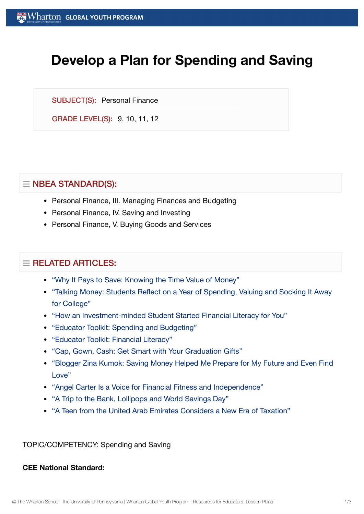# **Develop a Plan for Spending and Saving**

SUBJECT(S): Personal Finance

GRADE LEVEL(S): 9, 10, 11, 12

# $\equiv$  NBEA STANDARD(S):

- Personal Finance, III. Managing Finances and Budgeting
- Personal Finance, IV. Saving and Investing
- Personal Finance, V. Buying Goods and Services

## $\equiv$  RELATED ARTICLES:

- "Why It Pays to Save: [Knowing](https://globalyouth.wharton.upenn.edu/articles/why-it-pays-to-save-knowing-the-time-value-of-money/) the Time Value of Money"
- "Talking Money: [Students Reflect](https://globalyouth.wharton.upenn.edu/articles/talking-money-students-reflect-year-spending-valuing-socking-away-college/) on a Year of Spending, Valuing and Socking It Away for College"
- "How an [Investment-minded](https://globalyouth.wharton.upenn.edu/articles/financial-literacy-champion-sohil-varshney-taught-1000-youth/) Student Started Financial Literacy for You"
- "Educator Toolkit: Spending and [Budgeting"](https://globalyouth.wharton.upenn.edu/articles/january-2018-educator-toolkit-spending-and-budgeting/)
- ["Educator](https://globalyouth.wharton.upenn.edu/articles/april-2018-educator-toolkit-financial-literacy/) Toolkit: Financial Literacy"
- "Cap, Gown, Cash: Get Smart with Your [Graduation](https://globalyouth.wharton.upenn.edu/articles/cap-gown-cash-get-smart-with-your-graduation-gifts/) Gifts"
- "Blogger Zina Kumok: Saving Money Helped Me Prepare for [My Future](https://globalyouth.wharton.upenn.edu/articles/saving-money-helped-me-find-love/) and Even Find Love"
- "Angel Carter Is a Voice for Financial Fitness and [Independence"](https://globalyouth.wharton.upenn.edu/articles/angel-carter-voice-financial-fitness-independence/)
- "A Trip to the Bank, [Lollipops and](https://globalyouth.wharton.upenn.edu/articles/trip-to-bank-and-world-savings-day/) World Savings Day"
- "A Teen from the United Arab [Emirates Considers a](https://globalyouth.wharton.upenn.edu/articles/teen-united-arab-emirates-considers-new-era-taxation/) New Era of Taxation"

TOPIC/COMPETENCY: Spending and Saving

#### **CEE National Standard:**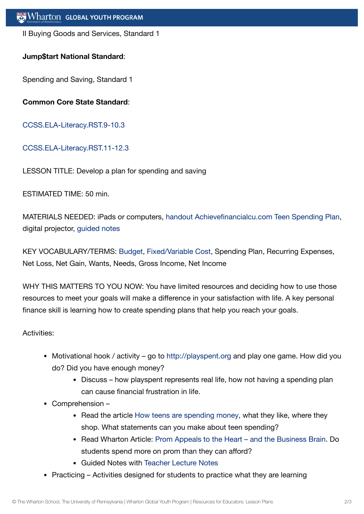II Buying Goods and Services, Standard 1

## **Jump\$tart National Standard**:

Spending and Saving, Standard 1

**Common Core State Standard**:

[CCSS.ELA-Literacy.RST.9-10.3](http://www.corestandards.org/ELA-Literacy/RST/9-10/3/)

### [CCSS.ELA-Literacy.RST.11-12.3](http://www.corestandards.org/ELA-Literacy/RST/11-12/3/)

LESSON TITLE: Develop a plan for spending and saving

ESTIMATED TIME: 50 min.

MATERIALS NEEDED: iPads or computers, handout [Achievefinancialcu.com](https://globalyouth.wharton.upenn.edu/wp-content/uploads/2015/12/Teen-Spending-Plan.pdf) Teen Spending Plan, digital projector, [guided](https://globalyouth.wharton.upenn.edu/wp-content/uploads/2015/12/Spending_Saving_Guided_Notes.pdf) notes

KEY VOCABULARY/TERMS: [Budget,](https://globalyouth.wharton.upenn.edu/glossary/budget/) [Fixed/Variable](https://globalyouth.wharton.upenn.edu/glossary/fixed_variable-cost/) Cost, Spending Plan, Recurring Expenses, Net Loss, Net Gain, Wants, Needs, Gross Income, Net Income

WHY THIS MATTERS TO YOU NOW: You have limited resources and deciding how to use those resources to meet your goals will make a difference in your satisfaction with life. A key personal finance skill is learning how to create spending plans that help you reach your goals.

Activities:

- Motivational hook / activity go to [http://playspent.org](http://playspent.org/) and play one game. How did you do? Did you have enough money?
	- Discuss how playspent represents real life, how not having a spending plan can cause financial frustration in life.
- Comprehension
	- Read the article How teens are [spending](https://www.businessinsider.com/how-teens-are-spending-money-2017-4) money, what they like, where they shop. What statements can you make about teen spending?
	- Read Wharton Article: Prom Appeals to the Heart and the [Business Brain.](https://globalyouth.wharton.upenn.edu/articles/prom-appeals-to-the-business-brain/) Do students spend more on prom than they can afford?
	- Guided Notes with [Teacher](https://globalyouth.wharton.upenn.edu/wp-content/uploads/2015/12/Lecture_Notes1.pdf) Lecture Notes
- Practicing Activities designed for students to practice what they are learning